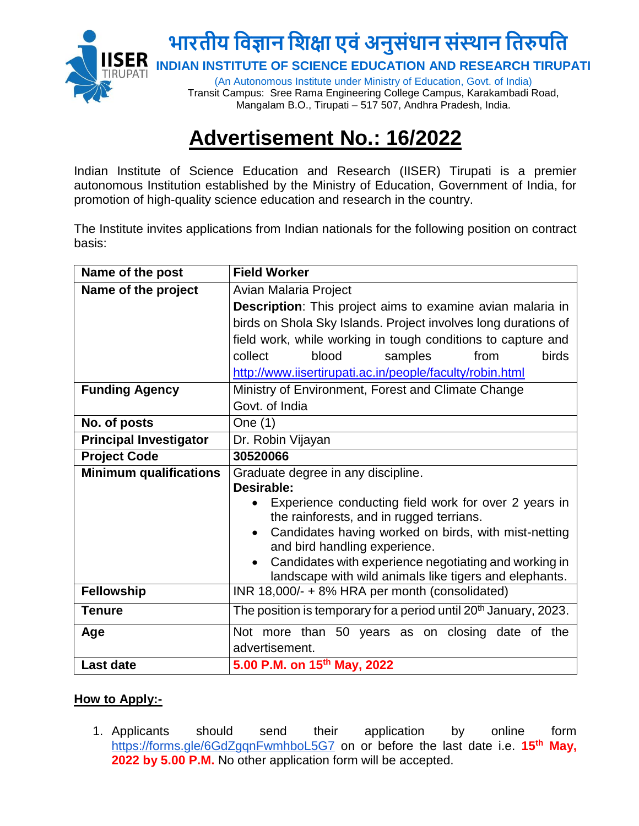

## **Advertisement No.: 16/2022**

Indian Institute of Science Education and Research (IISER) Tirupati is a premier autonomous Institution established by the Ministry of Education, Government of India, for promotion of high-quality science education and research in the country.

The Institute invites applications from Indian nationals for the following position on contract basis:

| Name of the post              | <b>Field Worker</b>                                                                   |
|-------------------------------|---------------------------------------------------------------------------------------|
| Name of the project           | Avian Malaria Project                                                                 |
|                               | <b>Description:</b> This project aims to examine avian malaria in                     |
|                               | birds on Shola Sky Islands. Project involves long durations of                        |
|                               | field work, while working in tough conditions to capture and                          |
|                               | <b>birds</b><br>collect<br>blood<br>samples<br>from                                   |
|                               | http://www.iisertirupati.ac.in/people/faculty/robin.html                              |
| <b>Funding Agency</b>         | Ministry of Environment, Forest and Climate Change                                    |
|                               | Govt. of India                                                                        |
| No. of posts                  | One (1)                                                                               |
| <b>Principal Investigator</b> | Dr. Robin Vijayan                                                                     |
| <b>Project Code</b>           | 30520066                                                                              |
| <b>Minimum qualifications</b> | Graduate degree in any discipline.                                                    |
|                               | Desirable:                                                                            |
|                               | Experience conducting field work for over 2 years in                                  |
|                               | the rainforests, and in rugged terrians.                                              |
|                               | Candidates having worked on birds, with mist-netting<br>and bird handling experience. |
|                               | Candidates with experience negotiating and working in                                 |
|                               | landscape with wild animals like tigers and elephants.                                |
| <b>Fellowship</b>             | INR 18,000/- + 8% HRA per month (consolidated)                                        |
| <b>Tenure</b>                 | The position is temporary for a period until 20 <sup>th</sup> January, 2023.          |
| Age                           | Not more than 50 years as on closing date of the                                      |
|                               | advertisement.                                                                        |
| <b>Last date</b>              | 5.00 P.M. on 15th May, 2022                                                           |

## **How to Apply:-**

1. Applicants should send their application by online form <https://forms.gle/6GdZgqnFwmhboL5G7> on or before the last date i.e. **15th May, 2022 by 5.00 P.M.** No other application form will be accepted.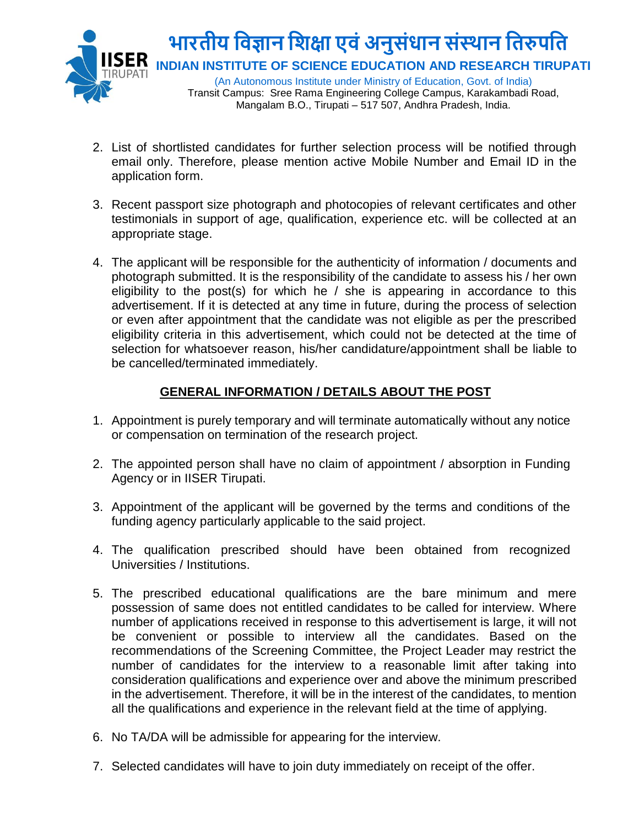

- 2. List of shortlisted candidates for further selection process will be notified through email only. Therefore, please mention active Mobile Number and Email ID in the application form.
- 3. Recent passport size photograph and photocopies of relevant certificates and other testimonials in support of age, qualification, experience etc. will be collected at an appropriate stage.
- 4. The applicant will be responsible for the authenticity of information / documents and photograph submitted. It is the responsibility of the candidate to assess his / her own eligibility to the post(s) for which he  $/$  she is appearing in accordance to this advertisement. If it is detected at any time in future, during the process of selection or even after appointment that the candidate was not eligible as per the prescribed eligibility criteria in this advertisement, which could not be detected at the time of selection for whatsoever reason, his/her candidature/appointment shall be liable to be cancelled/terminated immediately.

## **GENERAL INFORMATION / DETAILS ABOUT THE POST**

- 1. Appointment is purely temporary and will terminate automatically without any notice or compensation on termination of the research project.
- 2. The appointed person shall have no claim of appointment / absorption in Funding Agency or in IISER Tirupati.
- 3. Appointment of the applicant will be governed by the terms and conditions of the funding agency particularly applicable to the said project.
- 4. The qualification prescribed should have been obtained from recognized Universities / Institutions.
- 5. The prescribed educational qualifications are the bare minimum and mere possession of same does not entitled candidates to be called for interview. Where number of applications received in response to this advertisement is large, it will not be convenient or possible to interview all the candidates. Based on the recommendations of the Screening Committee, the Project Leader may restrict the number of candidates for the interview to a reasonable limit after taking into consideration qualifications and experience over and above the minimum prescribed in the advertisement. Therefore, it will be in the interest of the candidates, to mention all the qualifications and experience in the relevant field at the time of applying.
- 6. No TA/DA will be admissible for appearing for the interview.
- 7. Selected candidates will have to join duty immediately on receipt of the offer.